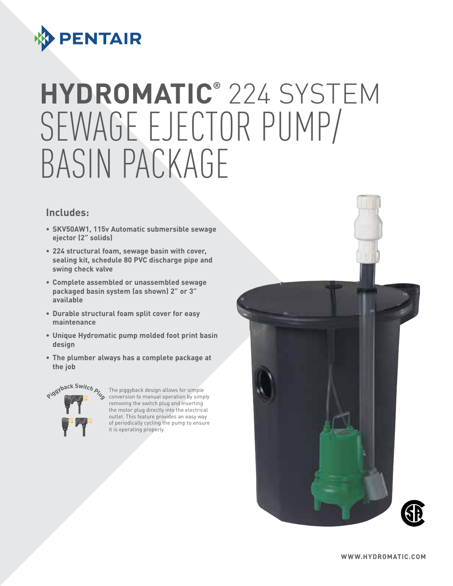

# **HYDROMATIC®** 224 SY Sewage Ejector Pump/ Basin Package

#### **Includes:**

- **• SKV50AW1, 115v Automatic submersible sewage ejector (2" solids)**
- **• 224 structural foam, sewage basin with cover, sealing kit, schedule 80 PVC discharge pipe and swing check valve**
- **• Complete assembled or unassembled sewage packaged basin system (as shown) 2" or 3" available**
- **• Durable structural foam split cover for easy maintenance**
- **• Unique Hydromatic pump molded foot print basin design**
- **• The plumber always has a complete package at the job**



The piggyback design allows for simple external operation by The piggyback design allows for simple  $\phi$  is conversion to manual operation by simply removing the switch plug and inserting the motor plug directly into the electrical outlet. This feature provides an easy way of periodically cycling the pump to ensure it is operating properly.

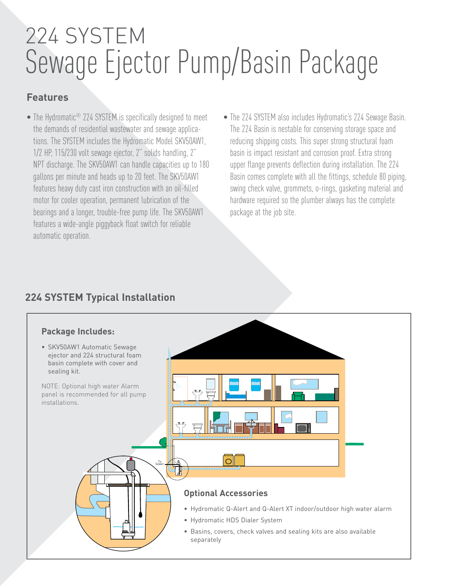# 224 SYSTEM Sewage Ejector Pump/Basin Package

### **Features**

- The Hydromatic<sup>®</sup> 224 SYSTEM is specifically designed to meet the demands of residential wastewater and sewage applications. The SYSTEM includes the Hydromatic Model SKV50AW1, 1/2 HP, 115/230 volt sewage ejector, 2" solids handling, 2" NPT discharge. The SKV50AW1 can handle capacities up to 180 gallons per minute and heads up to 20 feet. The SKV50AW1 features heavy duty cast iron construction with an oil-filled motor for cooler operation, permanent lubrication of the bearings and a longer, trouble-free pump life. The SKV50AW1 features a wide-angle piggyback float switch for reliable automatic operation.
- The 224 SYSTEM also includes Hydromatic's 224 Sewage Basin. The 224 Basin is nestable for conserving storage space and reducing shipping costs. This super strong structural foam basin is impact resistant and corrosion proof. Extra strong upper flange prevents deflection during installation. The 224 Basin comes complete with all the fittings, schedule 80 piping, swing check valve, grommets, o-rings, gasketing material and hardware required so the plumber always has the complete package at the job site.

## **224 SYSTEM Typical Installation**

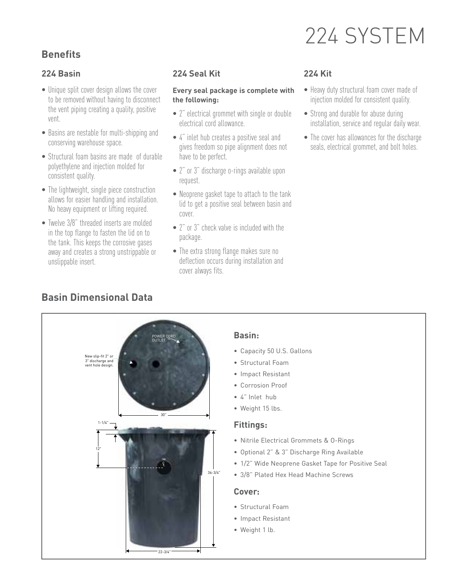# 224 system

# **Benefits**

#### **224 Basin**

- Unique split cover design allows the cover to be removed without having to disconnect the vent piping creating a quality, positive vent.
- Basins are nestable for multi-shipping and conserving warehouse space.
- Structural foam basins are made of durable polyethylene and injection molded for consistent quality.
- The lightweight, single piece construction allows for easier handling and installation. No heavy equipment or lifting required.
- Twelve 3/8" threaded inserts are molded in the top flange to fasten the lid on to the tank. This keeps the corrosive gases away and creates a strong unstrippable or unslippable insert.

#### **224 Seal Kit**

#### **Every seal package is complete with the following:**

- 2" electrical grommet with single or double electrical cord allowance.
- 4" inlet hub creates a positive seal and gives freedom so pipe alignment does not have to be perfect.
- 2" or 3" discharge o-rings available upon request.
- Neoprene gasket tape to attach to the tank lid to get a positive seal between basin and cover.
- 2" or 3" check valve is included with the package.
- The extra strong flange makes sure no deflection occurs during installation and cover always fits.

#### **224 Kit**

- Heavy duty structural foam cover made of injection molded for consistent quality.
- Strong and durable for abuse during installation, service and regular daily wear.
- The cover has allowances for the discharge seals, electrical grommet, and bolt holes.

# **Basin Dimensional Data**